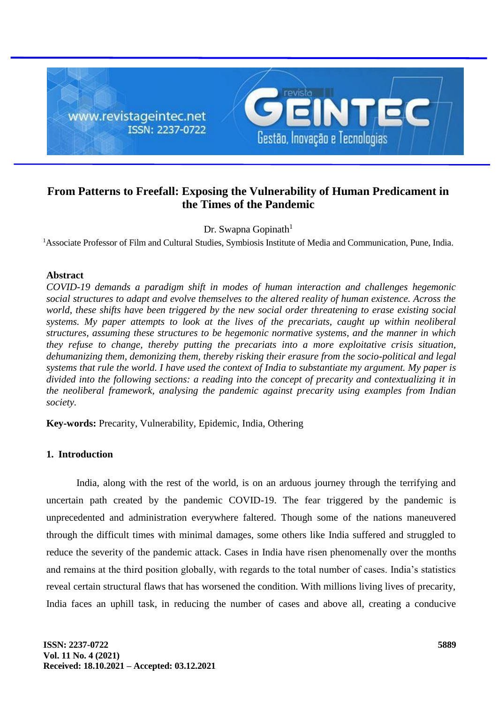

# **From Patterns to Freefall: Exposing the Vulnerability of Human Predicament in the Times of the Pandemic**

Dr. Swapna Gopinath $1$ 

<sup>1</sup>Associate Professor of Film and Cultural Studies, Symbiosis Institute of Media and Communication, Pune, India.

## **Abstract**

*COVID-19 demands a paradigm shift in modes of human interaction and challenges hegemonic social structures to adapt and evolve themselves to the altered reality of human existence. Across the world, these shifts have been triggered by the new social order threatening to erase existing social systems. My paper attempts to look at the lives of the precariats, caught up within neoliberal structures, assuming these structures to be hegemonic normative systems, and the manner in which they refuse to change, thereby putting the precariats into a more exploitative crisis situation, dehumanizing them, demonizing them, thereby risking their erasure from the socio-political and legal systems that rule the world. I have used the context of India to substantiate my argument. My paper is divided into the following sections: a reading into the concept of precarity and contextualizing it in the neoliberal framework, analysing the pandemic against precarity using examples from Indian society.*

**Key-words:** Precarity, Vulnerability, Epidemic, India, Othering

# **1. Introduction**

India, along with the rest of the world, is on an arduous journey through the terrifying and uncertain path created by the pandemic COVID-19. The fear triggered by the pandemic is unprecedented and administration everywhere faltered. Though some of the nations maneuvered through the difficult times with minimal damages, some others like India suffered and struggled to reduce the severity of the pandemic attack. Cases in India have risen phenomenally over the months and remains at the third position globally, with regards to the total number of cases. India's statistics reveal certain structural flaws that has worsened the condition. With millions living lives of precarity, India faces an uphill task, in reducing the number of cases and above all, creating a conducive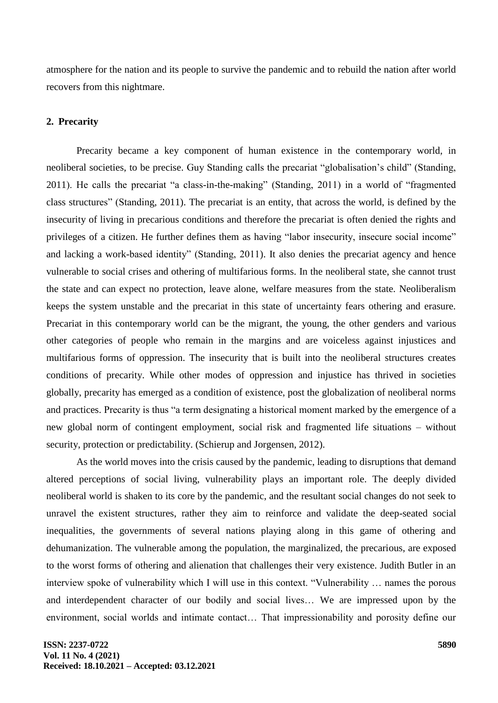atmosphere for the nation and its people to survive the pandemic and to rebuild the nation after world recovers from this nightmare.

#### **2. Precarity**

Precarity became a key component of human existence in the contemporary world, in neoliberal societies, to be precise. Guy Standing calls the precariat "globalisation's child" (Standing, 2011). He calls the precariat "a class-in-the-making" (Standing, 2011) in a world of "fragmented class structures" (Standing, 2011). The precariat is an entity, that across the world, is defined by the insecurity of living in precarious conditions and therefore the precariat is often denied the rights and privileges of a citizen. He further defines them as having "labor insecurity, insecure social income" and lacking a work-based identity" (Standing, 2011). It also denies the precariat agency and hence vulnerable to social crises and othering of multifarious forms. In the neoliberal state, she cannot trust the state and can expect no protection, leave alone, welfare measures from the state. Neoliberalism keeps the system unstable and the precariat in this state of uncertainty fears othering and erasure. Precariat in this contemporary world can be the migrant, the young, the other genders and various other categories of people who remain in the margins and are voiceless against injustices and multifarious forms of oppression. The insecurity that is built into the neoliberal structures creates conditions of precarity. While other modes of oppression and injustice has thrived in societies globally, precarity has emerged as a condition of existence, post the globalization of neoliberal norms and practices. Precarity is thus "a term designating a historical moment marked by the emergence of a new global norm of contingent employment, social risk and fragmented life situations – without security, protection or predictability. (Schierup and Jorgensen, 2012).

As the world moves into the crisis caused by the pandemic, leading to disruptions that demand altered perceptions of social living, vulnerability plays an important role. The deeply divided neoliberal world is shaken to its core by the pandemic, and the resultant social changes do not seek to unravel the existent structures, rather they aim to reinforce and validate the deep-seated social inequalities, the governments of several nations playing along in this game of othering and dehumanization. The vulnerable among the population, the marginalized, the precarious, are exposed to the worst forms of othering and alienation that challenges their very existence. Judith Butler in an interview spoke of vulnerability which I will use in this context. "Vulnerability … names the porous and interdependent character of our bodily and social lives… We are impressed upon by the environment, social worlds and intimate contact… That impressionability and porosity define our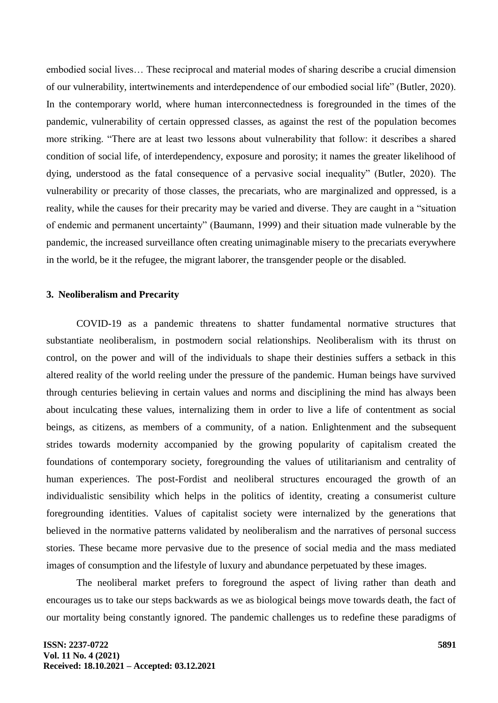embodied social lives… These reciprocal and material modes of sharing describe a crucial dimension of our vulnerability, intertwinements and interdependence of our embodied social life" (Butler, 2020). In the contemporary world, where human interconnectedness is foregrounded in the times of the pandemic, vulnerability of certain oppressed classes, as against the rest of the population becomes more striking. "There are at least two lessons about vulnerability that follow: it describes a shared condition of social life, of interdependency, exposure and porosity; it names the greater likelihood of dying, understood as the fatal consequence of a pervasive social inequality" (Butler, 2020). The vulnerability or precarity of those classes, the precariats, who are marginalized and oppressed, is a reality, while the causes for their precarity may be varied and diverse. They are caught in a "situation of endemic and permanent uncertainty" (Baumann, 1999) and their situation made vulnerable by the pandemic, the increased surveillance often creating unimaginable misery to the precariats everywhere in the world, be it the refugee, the migrant laborer, the transgender people or the disabled.

#### **3. Neoliberalism and Precarity**

COVID-19 as a pandemic threatens to shatter fundamental normative structures that substantiate neoliberalism, in postmodern social relationships. Neoliberalism with its thrust on control, on the power and will of the individuals to shape their destinies suffers a setback in this altered reality of the world reeling under the pressure of the pandemic. Human beings have survived through centuries believing in certain values and norms and disciplining the mind has always been about inculcating these values, internalizing them in order to live a life of contentment as social beings, as citizens, as members of a community, of a nation. Enlightenment and the subsequent strides towards modernity accompanied by the growing popularity of capitalism created the foundations of contemporary society, foregrounding the values of utilitarianism and centrality of human experiences. The post-Fordist and neoliberal structures encouraged the growth of an individualistic sensibility which helps in the politics of identity, creating a consumerist culture foregrounding identities. Values of capitalist society were internalized by the generations that believed in the normative patterns validated by neoliberalism and the narratives of personal success stories. These became more pervasive due to the presence of social media and the mass mediated images of consumption and the lifestyle of luxury and abundance perpetuated by these images.

The neoliberal market prefers to foreground the aspect of living rather than death and encourages us to take our steps backwards as we as biological beings move towards death, the fact of our mortality being constantly ignored. The pandemic challenges us to redefine these paradigms of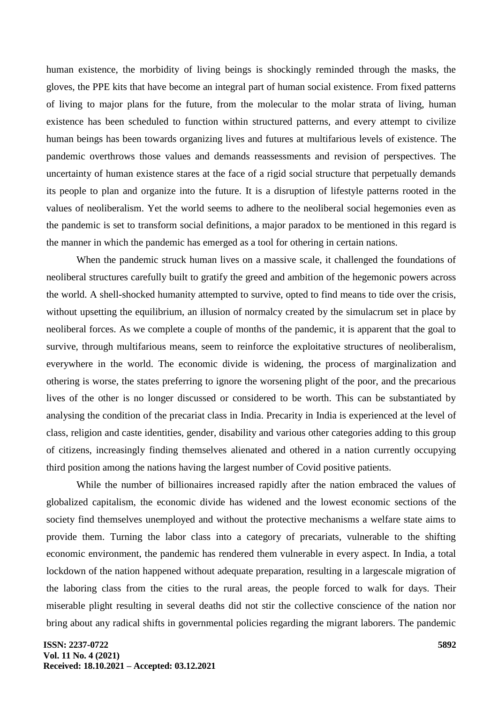human existence, the morbidity of living beings is shockingly reminded through the masks, the gloves, the PPE kits that have become an integral part of human social existence. From fixed patterns of living to major plans for the future, from the molecular to the molar strata of living, human existence has been scheduled to function within structured patterns, and every attempt to civilize human beings has been towards organizing lives and futures at multifarious levels of existence. The pandemic overthrows those values and demands reassessments and revision of perspectives. The uncertainty of human existence stares at the face of a rigid social structure that perpetually demands its people to plan and organize into the future. It is a disruption of lifestyle patterns rooted in the values of neoliberalism. Yet the world seems to adhere to the neoliberal social hegemonies even as the pandemic is set to transform social definitions, a major paradox to be mentioned in this regard is the manner in which the pandemic has emerged as a tool for othering in certain nations.

When the pandemic struck human lives on a massive scale, it challenged the foundations of neoliberal structures carefully built to gratify the greed and ambition of the hegemonic powers across the world. A shell-shocked humanity attempted to survive, opted to find means to tide over the crisis, without upsetting the equilibrium, an illusion of normalcy created by the simulacrum set in place by neoliberal forces. As we complete a couple of months of the pandemic, it is apparent that the goal to survive, through multifarious means, seem to reinforce the exploitative structures of neoliberalism, everywhere in the world. The economic divide is widening, the process of marginalization and othering is worse, the states preferring to ignore the worsening plight of the poor, and the precarious lives of the other is no longer discussed or considered to be worth. This can be substantiated by analysing the condition of the precariat class in India. Precarity in India is experienced at the level of class, religion and caste identities, gender, disability and various other categories adding to this group of citizens, increasingly finding themselves alienated and othered in a nation currently occupying third position among the nations having the largest number of Covid positive patients.

While the number of billionaires increased rapidly after the nation embraced the values of globalized capitalism, the economic divide has widened and the lowest economic sections of the society find themselves unemployed and without the protective mechanisms a welfare state aims to provide them. Turning the labor class into a category of precariats, vulnerable to the shifting economic environment, the pandemic has rendered them vulnerable in every aspect. In India, a total lockdown of the nation happened without adequate preparation, resulting in a largescale migration of the laboring class from the cities to the rural areas, the people forced to walk for days. Their miserable plight resulting in several deaths did not stir the collective conscience of the nation nor bring about any radical shifts in governmental policies regarding the migrant laborers. The pandemic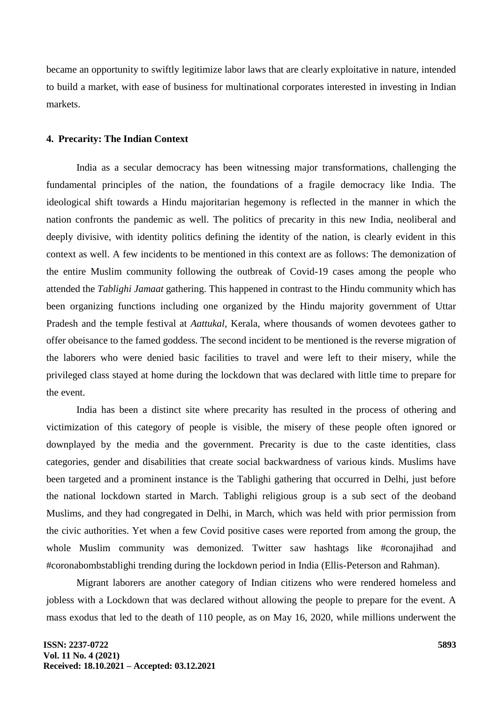became an opportunity to swiftly legitimize labor laws that are clearly exploitative in nature, intended to build a market, with ease of business for multinational corporates interested in investing in Indian markets.

#### **4. Precarity: The Indian Context**

India as a secular democracy has been witnessing major transformations, challenging the fundamental principles of the nation, the foundations of a fragile democracy like India. The ideological shift towards a Hindu majoritarian hegemony is reflected in the manner in which the nation confronts the pandemic as well. The politics of precarity in this new India, neoliberal and deeply divisive, with identity politics defining the identity of the nation, is clearly evident in this context as well. A few incidents to be mentioned in this context are as follows: The demonization of the entire Muslim community following the outbreak of Covid-19 cases among the people who attended the *Tablighi Jamaat* gathering. This happened in contrast to the Hindu community which has been organizing functions including one organized by the Hindu majority government of Uttar Pradesh and the temple festival at *Aattukal,* Kerala, where thousands of women devotees gather to offer obeisance to the famed goddess. The second incident to be mentioned is the reverse migration of the laborers who were denied basic facilities to travel and were left to their misery, while the privileged class stayed at home during the lockdown that was declared with little time to prepare for the event.

India has been a distinct site where precarity has resulted in the process of othering and victimization of this category of people is visible, the misery of these people often ignored or downplayed by the media and the government. Precarity is due to the caste identities, class categories, gender and disabilities that create social backwardness of various kinds. Muslims have been targeted and a prominent instance is the Tablighi gathering that occurred in Delhi, just before the national lockdown started in March. Tablighi religious group is a sub sect of the deoband Muslims, and they had congregated in Delhi, in March, which was held with prior permission from the civic authorities. Yet when a few Covid positive cases were reported from among the group, the whole Muslim community was demonized. Twitter saw hashtags like #coronajihad and #coronabombstablighi trending during the lockdown period in India (Ellis-Peterson and Rahman).

Migrant laborers are another category of Indian citizens who were rendered homeless and jobless with a Lockdown that was declared without allowing the people to prepare for the event. A mass exodus that led to the death of 110 people, as on May 16, 2020, while millions underwent the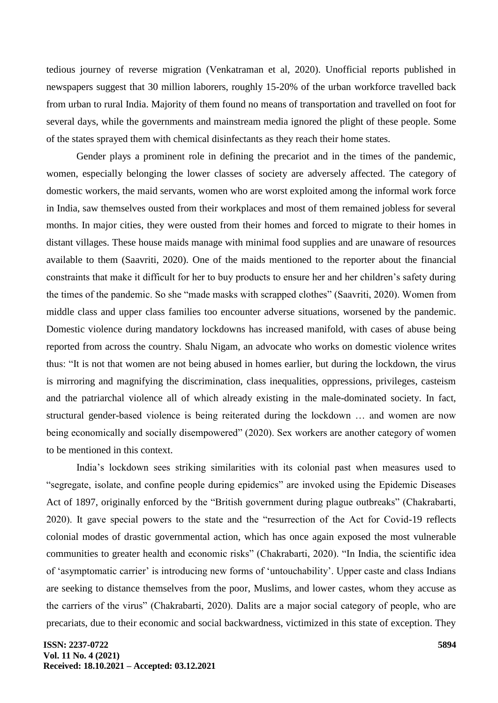tedious journey of reverse migration (Venkatraman et al, 2020). Unofficial reports published in newspapers suggest that 30 million laborers, roughly 15-20% of the urban workforce travelled back from urban to rural India. Majority of them found no means of transportation and travelled on foot for several days, while the governments and mainstream media ignored the plight of these people. Some of the states sprayed them with chemical disinfectants as they reach their home states.

Gender plays a prominent role in defining the precariot and in the times of the pandemic, women, especially belonging the lower classes of society are adversely affected. The category of domestic workers, the maid servants, women who are worst exploited among the informal work force in India, saw themselves ousted from their workplaces and most of them remained jobless for several months. In major cities, they were ousted from their homes and forced to migrate to their homes in distant villages. These house maids manage with minimal food supplies and are unaware of resources available to them (Saavriti, 2020). One of the maids mentioned to the reporter about the financial constraints that make it difficult for her to buy products to ensure her and her children's safety during the times of the pandemic. So she "made masks with scrapped clothes" (Saavriti, 2020). Women from middle class and upper class families too encounter adverse situations, worsened by the pandemic. Domestic violence during mandatory lockdowns has increased manifold, with cases of abuse being reported from across the country. Shalu Nigam, an advocate who works on domestic violence writes thus: "It is not that women are not being abused in homes earlier, but during the lockdown, the virus is mirroring and magnifying the discrimination, class inequalities, oppressions, privileges, casteism and the patriarchal violence all of which already existing in the male-dominated society. In fact, structural gender-based violence is being reiterated during the lockdown … and women are now being economically and socially disempowered" (2020). Sex workers are another category of women to be mentioned in this context.

India's lockdown sees striking similarities with its colonial past when measures used to "segregate, isolate, and confine people during epidemics" are invoked using the Epidemic Diseases Act of 1897, originally enforced by the "British government during plague outbreaks" (Chakrabarti, 2020). It gave special powers to the state and the "resurrection of the Act for Covid-19 reflects colonial modes of drastic governmental action, which has once again exposed the most vulnerable communities to greater health and economic risks" (Chakrabarti, 2020). "In India, the scientific idea of 'asymptomatic carrier' is introducing new forms of 'untouchability'. Upper caste and class Indians are seeking to distance themselves from the poor, Muslims, and lower castes, whom they accuse as the carriers of the virus" (Chakrabarti, 2020). Dalits are a major social category of people, who are precariats, due to their economic and social backwardness, victimized in this state of exception. They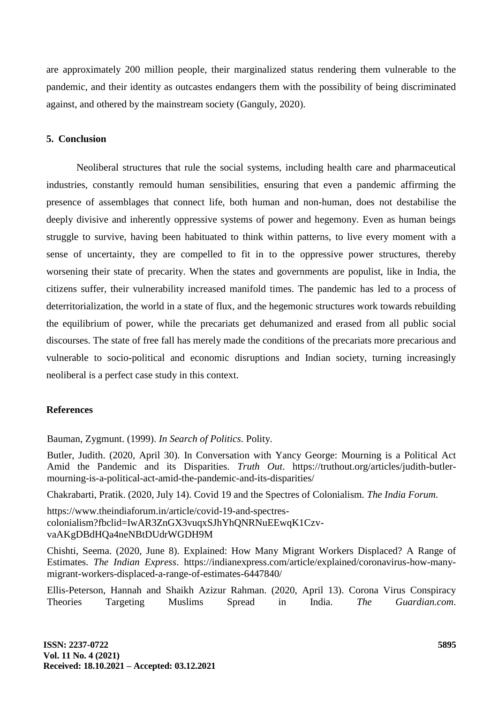are approximately 200 million people, their marginalized status rendering them vulnerable to the pandemic, and their identity as outcastes endangers them with the possibility of being discriminated against, and othered by the mainstream society (Ganguly, 2020).

## **5. Conclusion**

Neoliberal structures that rule the social systems, including health care and pharmaceutical industries, constantly remould human sensibilities, ensuring that even a pandemic affirming the presence of assemblages that connect life, both human and non-human, does not destabilise the deeply divisive and inherently oppressive systems of power and hegemony. Even as human beings struggle to survive, having been habituated to think within patterns, to live every moment with a sense of uncertainty, they are compelled to fit in to the oppressive power structures, thereby worsening their state of precarity. When the states and governments are populist, like in India, the citizens suffer, their vulnerability increased manifold times. The pandemic has led to a process of deterritorialization, the world in a state of flux, and the hegemonic structures work towards rebuilding the equilibrium of power, while the precariats get dehumanized and erased from all public social discourses. The state of free fall has merely made the conditions of the precariats more precarious and vulnerable to socio-political and economic disruptions and Indian society, turning increasingly neoliberal is a perfect case study in this context.

#### **References**

Bauman, Zygmunt. (1999). *In Search of Politics*. Polity.

Butler, Judith. (2020, April 30). In Conversation with Yancy George: Mourning is a Political Act Amid the Pandemic and its Disparities. *Truth Out*. https://truthout.org/articles/judith-butlermourning-is-a-political-act-amid-the-pandemic-and-its-disparities/

Chakrabarti, Pratik. (2020, July 14). Covid 19 and the Spectres of Colonialism. *The India Forum*.

https://www.theindiaforum.in/article/covid-19-and-spectrescolonialism?fbclid=IwAR3ZnGX3vuqxSJhYhQNRNuEEwqK1CzvvaAKgDBdHQa4neNBtDUdrWGDH9M

Chishti, Seema. (2020, June 8). Explained: How Many Migrant Workers Displaced? A Range of Estimates. *The Indian Express*. https://indianexpress.com/article/explained/coronavirus-how-manymigrant-workers-displaced-a-range-of-estimates-6447840/

Ellis-Peterson, Hannah and Shaikh Azizur Rahman. (2020, April 13). Corona Virus Conspiracy Theories Targeting Muslims Spread in India. *The Guardian.com*.